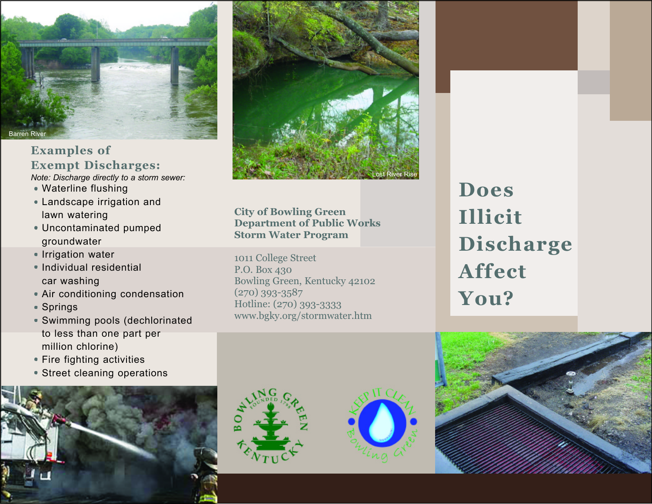

**Examples of Exempt Discharges:**

- *Note: Discharge directly to a storm sewer:*
- Waterline flushing
- Landscape irrigation and lawn watering
- Uncontaminated pumped groundwater
- Irrigation water
- Individual residential car washing
- Air conditioning condensation
- Springs
- Swimming pools (dechlorinated to less than one part per million chlorine)
- Fire fighting activities
- Street cleaning operations





**City of Bowling Green Department of Public Works Storm Water Program**

1011 College Street P.O. Box 430 Bowling Green, Kentucky 42102 (270) 393-3587 Hotline: (270) 393-3333 www.bgky.org/stormwater.htm